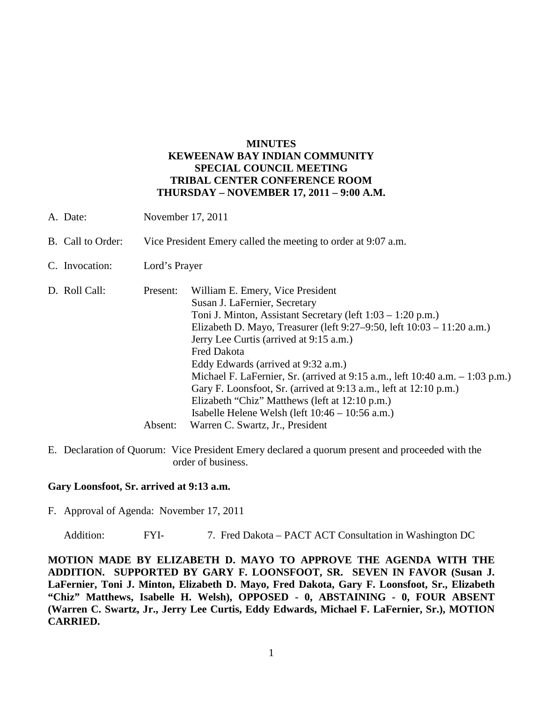# **MINUTES KEWEENAW BAY INDIAN COMMUNITY SPECIAL COUNCIL MEETING TRIBAL CENTER CONFERENCE ROOM THURSDAY – NOVEMBER 17, 2011 – 9:00 A.M.**

| A. Date:          | November 17, 2011                                             |                                                                                                                                                                                                                                                                                                                                                                                                                                                                                                                                                                                                                          |
|-------------------|---------------------------------------------------------------|--------------------------------------------------------------------------------------------------------------------------------------------------------------------------------------------------------------------------------------------------------------------------------------------------------------------------------------------------------------------------------------------------------------------------------------------------------------------------------------------------------------------------------------------------------------------------------------------------------------------------|
| B. Call to Order: | Vice President Emery called the meeting to order at 9:07 a.m. |                                                                                                                                                                                                                                                                                                                                                                                                                                                                                                                                                                                                                          |
| C. Invocation:    | Lord's Prayer                                                 |                                                                                                                                                                                                                                                                                                                                                                                                                                                                                                                                                                                                                          |
| D. Roll Call:     | Present:<br>Absent:                                           | William E. Emery, Vice President<br>Susan J. LaFernier, Secretary<br>Toni J. Minton, Assistant Secretary (left 1:03 – 1:20 p.m.)<br>Elizabeth D. Mayo, Treasurer (left 9:27–9:50, left 10:03 – 11:20 a.m.)<br>Jerry Lee Curtis (arrived at 9:15 a.m.)<br><b>Fred Dakota</b><br>Eddy Edwards (arrived at 9:32 a.m.)<br>Michael F. LaFernier, Sr. (arrived at $9:15$ a.m., left $10:40$ a.m. $-1:03$ p.m.)<br>Gary F. Loonsfoot, Sr. (arrived at 9:13 a.m., left at 12:10 p.m.)<br>Elizabeth "Chiz" Matthews (left at 12:10 p.m.)<br>Isabelle Helene Welsh (left $10:46 - 10:56$ a.m.)<br>Warren C. Swartz, Jr., President |

E. Declaration of Quorum: Vice President Emery declared a quorum present and proceeded with the order of business.

#### **Gary Loonsfoot, Sr. arrived at 9:13 a.m.**

F. Approval of Agenda: November 17, 2011

Addition: FYI- 7. Fred Dakota – PACT ACT Consultation in Washington DC

**MOTION MADE BY ELIZABETH D. MAYO TO APPROVE THE AGENDA WITH THE ADDITION. SUPPORTED BY GARY F. LOONSFOOT, SR. SEVEN IN FAVOR (Susan J. LaFernier, Toni J. Minton, Elizabeth D. Mayo, Fred Dakota, Gary F. Loonsfoot, Sr., Elizabeth "Chiz" Matthews, Isabelle H. Welsh), OPPOSED - 0, ABSTAINING - 0, FOUR ABSENT (Warren C. Swartz, Jr., Jerry Lee Curtis, Eddy Edwards, Michael F. LaFernier, Sr.), MOTION CARRIED.**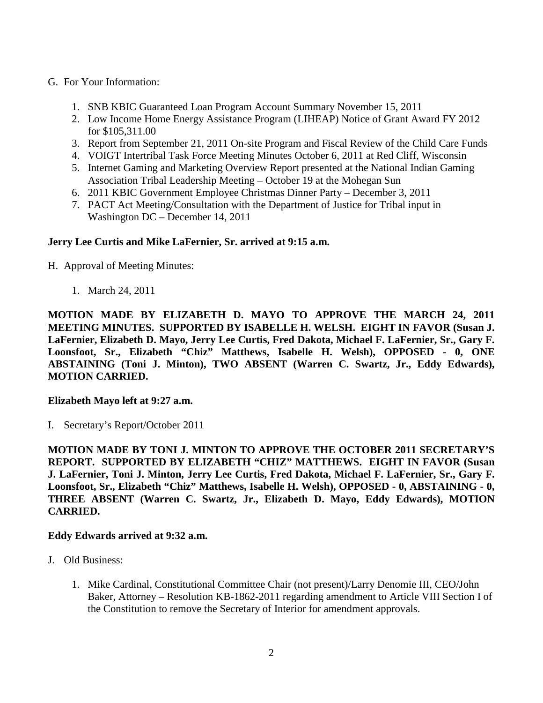# G. For Your Information:

- 1. SNB KBIC Guaranteed Loan Program Account Summary November 15, 2011
- 2. Low Income Home Energy Assistance Program (LIHEAP) Notice of Grant Award FY 2012 for \$105,311.00
- 3. Report from September 21, 2011 On-site Program and Fiscal Review of the Child Care Funds
- 4. VOIGT Intertribal Task Force Meeting Minutes October 6, 2011 at Red Cliff, Wisconsin
- 5. Internet Gaming and Marketing Overview Report presented at the National Indian Gaming Association Tribal Leadership Meeting – October 19 at the Mohegan Sun
- 6. 2011 KBIC Government Employee Christmas Dinner Party December 3, 2011
- 7. PACT Act Meeting/Consultation with the Department of Justice for Tribal input in Washington DC – December 14, 2011

# **Jerry Lee Curtis and Mike LaFernier, Sr. arrived at 9:15 a.m.**

H. Approval of Meeting Minutes:

1. March 24, 2011

**MOTION MADE BY ELIZABETH D. MAYO TO APPROVE THE MARCH 24, 2011 MEETING MINUTES. SUPPORTED BY ISABELLE H. WELSH. EIGHT IN FAVOR (Susan J. LaFernier, Elizabeth D. Mayo, Jerry Lee Curtis, Fred Dakota, Michael F. LaFernier, Sr., Gary F. Loonsfoot, Sr., Elizabeth "Chiz" Matthews, Isabelle H. Welsh), OPPOSED - 0, ONE ABSTAINING (Toni J. Minton), TWO ABSENT (Warren C. Swartz, Jr., Eddy Edwards), MOTION CARRIED.**

### **Elizabeth Mayo left at 9:27 a.m.**

I. Secretary's Report/October 2011

**MOTION MADE BY TONI J. MINTON TO APPROVE THE OCTOBER 2011 SECRETARY'S REPORT. SUPPORTED BY ELIZABETH "CHIZ" MATTHEWS. EIGHT IN FAVOR (Susan J. LaFernier, Toni J. Minton, Jerry Lee Curtis, Fred Dakota, Michael F. LaFernier, Sr., Gary F. Loonsfoot, Sr., Elizabeth "Chiz" Matthews, Isabelle H. Welsh), OPPOSED - 0, ABSTAINING - 0, THREE ABSENT (Warren C. Swartz, Jr., Elizabeth D. Mayo, Eddy Edwards), MOTION CARRIED.**

### **Eddy Edwards arrived at 9:32 a.m.**

- J. Old Business:
	- 1. Mike Cardinal, Constitutional Committee Chair (not present)/Larry Denomie III, CEO/John Baker, Attorney – Resolution KB-1862-2011 regarding amendment to Article VIII Section I of the Constitution to remove the Secretary of Interior for amendment approvals.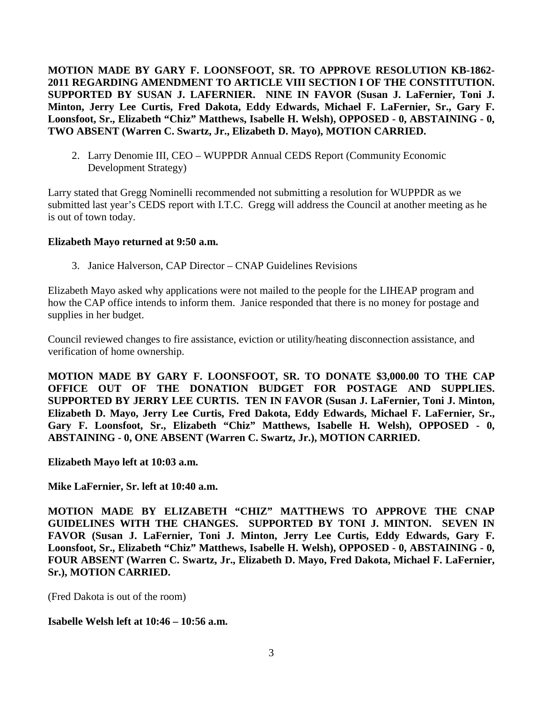**MOTION MADE BY GARY F. LOONSFOOT, SR. TO APPROVE RESOLUTION KB-1862- 2011 REGARDING AMENDMENT TO ARTICLE VIII SECTION I OF THE CONSTITUTION. SUPPORTED BY SUSAN J. LAFERNIER. NINE IN FAVOR (Susan J. LaFernier, Toni J. Minton, Jerry Lee Curtis, Fred Dakota, Eddy Edwards, Michael F. LaFernier, Sr., Gary F. Loonsfoot, Sr., Elizabeth "Chiz" Matthews, Isabelle H. Welsh), OPPOSED - 0, ABSTAINING - 0, TWO ABSENT (Warren C. Swartz, Jr., Elizabeth D. Mayo), MOTION CARRIED.**

2. Larry Denomie III, CEO – WUPPDR Annual CEDS Report (Community Economic Development Strategy)

Larry stated that Gregg Nominelli recommended not submitting a resolution for WUPPDR as we submitted last year's CEDS report with I.T.C. Gregg will address the Council at another meeting as he is out of town today.

# **Elizabeth Mayo returned at 9:50 a.m.**

3. Janice Halverson, CAP Director – CNAP Guidelines Revisions

Elizabeth Mayo asked why applications were not mailed to the people for the LIHEAP program and how the CAP office intends to inform them. Janice responded that there is no money for postage and supplies in her budget.

Council reviewed changes to fire assistance, eviction or utility/heating disconnection assistance, and verification of home ownership.

**MOTION MADE BY GARY F. LOONSFOOT, SR. TO DONATE \$3,000.00 TO THE CAP OFFICE OUT OF THE DONATION BUDGET FOR POSTAGE AND SUPPLIES. SUPPORTED BY JERRY LEE CURTIS. TEN IN FAVOR (Susan J. LaFernier, Toni J. Minton, Elizabeth D. Mayo, Jerry Lee Curtis, Fred Dakota, Eddy Edwards, Michael F. LaFernier, Sr., Gary F. Loonsfoot, Sr., Elizabeth "Chiz" Matthews, Isabelle H. Welsh), OPPOSED - 0, ABSTAINING - 0, ONE ABSENT (Warren C. Swartz, Jr.), MOTION CARRIED.**

**Elizabeth Mayo left at 10:03 a.m.** 

**Mike LaFernier, Sr. left at 10:40 a.m.** 

**MOTION MADE BY ELIZABETH "CHIZ" MATTHEWS TO APPROVE THE CNAP GUIDELINES WITH THE CHANGES. SUPPORTED BY TONI J. MINTON. SEVEN IN FAVOR (Susan J. LaFernier, Toni J. Minton, Jerry Lee Curtis, Eddy Edwards, Gary F. Loonsfoot, Sr., Elizabeth "Chiz" Matthews, Isabelle H. Welsh), OPPOSED - 0, ABSTAINING - 0, FOUR ABSENT (Warren C. Swartz, Jr., Elizabeth D. Mayo, Fred Dakota, Michael F. LaFernier, Sr.), MOTION CARRIED.**

(Fred Dakota is out of the room)

# **Isabelle Welsh left at 10:46 – 10:56 a.m.**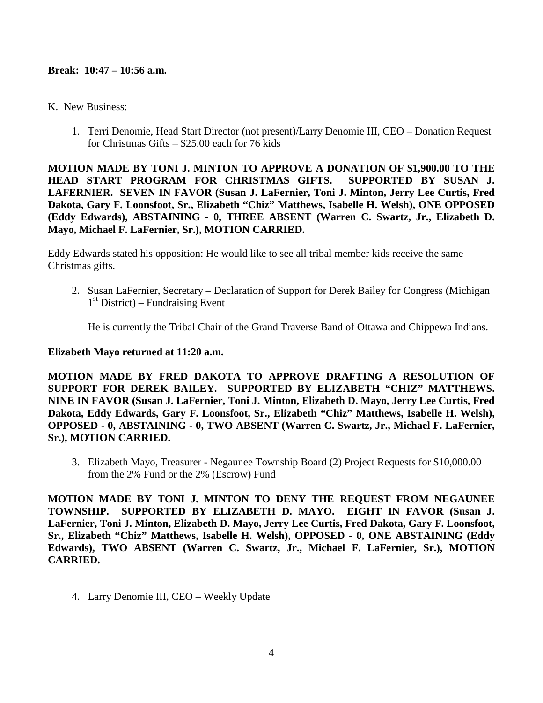#### **Break: 10:47 – 10:56 a.m.**

- K. New Business:
	- 1. Terri Denomie, Head Start Director (not present)/Larry Denomie III, CEO Donation Request for Christmas Gifts – \$25.00 each for 76 kids

**MOTION MADE BY TONI J. MINTON TO APPROVE A DONATION OF \$1,900.00 TO THE HEAD START PROGRAM FOR CHRISTMAS GIFTS. SUPPORTED BY SUSAN J. LAFERNIER. SEVEN IN FAVOR (Susan J. LaFernier, Toni J. Minton, Jerry Lee Curtis, Fred Dakota, Gary F. Loonsfoot, Sr., Elizabeth "Chiz" Matthews, Isabelle H. Welsh), ONE OPPOSED (Eddy Edwards), ABSTAINING - 0, THREE ABSENT (Warren C. Swartz, Jr., Elizabeth D. Mayo, Michael F. LaFernier, Sr.), MOTION CARRIED.**

Eddy Edwards stated his opposition: He would like to see all tribal member kids receive the same Christmas gifts.

2. Susan LaFernier, Secretary – Declaration of Support for Derek Bailey for Congress (Michigan  $1<sup>st</sup>$  District) – Fundraising Event

He is currently the Tribal Chair of the Grand Traverse Band of Ottawa and Chippewa Indians.

#### **Elizabeth Mayo returned at 11:20 a.m.**

**MOTION MADE BY FRED DAKOTA TO APPROVE DRAFTING A RESOLUTION OF SUPPORT FOR DEREK BAILEY. SUPPORTED BY ELIZABETH "CHIZ" MATTHEWS. NINE IN FAVOR (Susan J. LaFernier, Toni J. Minton, Elizabeth D. Mayo, Jerry Lee Curtis, Fred Dakota, Eddy Edwards, Gary F. Loonsfoot, Sr., Elizabeth "Chiz" Matthews, Isabelle H. Welsh), OPPOSED - 0, ABSTAINING - 0, TWO ABSENT (Warren C. Swartz, Jr., Michael F. LaFernier, Sr.), MOTION CARRIED.**

3. Elizabeth Mayo, Treasurer - Negaunee Township Board (2) Project Requests for \$10,000.00 from the 2% Fund or the 2% (Escrow) Fund

**MOTION MADE BY TONI J. MINTON TO DENY THE REQUEST FROM NEGAUNEE TOWNSHIP. SUPPORTED BY ELIZABETH D. MAYO. EIGHT IN FAVOR (Susan J. LaFernier, Toni J. Minton, Elizabeth D. Mayo, Jerry Lee Curtis, Fred Dakota, Gary F. Loonsfoot, Sr., Elizabeth "Chiz" Matthews, Isabelle H. Welsh), OPPOSED - 0, ONE ABSTAINING (Eddy Edwards), TWO ABSENT (Warren C. Swartz, Jr., Michael F. LaFernier, Sr.), MOTION CARRIED.**

4. Larry Denomie III, CEO – Weekly Update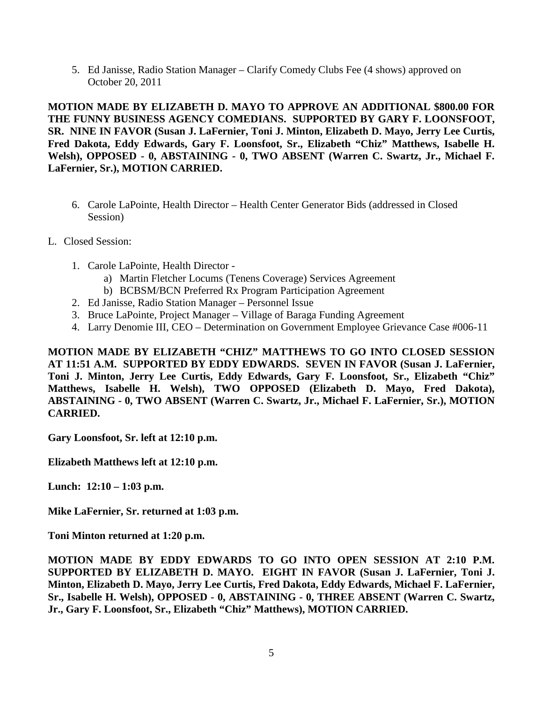5. Ed Janisse, Radio Station Manager – Clarify Comedy Clubs Fee (4 shows) approved on October 20, 2011

**MOTION MADE BY ELIZABETH D. MAYO TO APPROVE AN ADDITIONAL \$800.00 FOR THE FUNNY BUSINESS AGENCY COMEDIANS. SUPPORTED BY GARY F. LOONSFOOT, SR. NINE IN FAVOR (Susan J. LaFernier, Toni J. Minton, Elizabeth D. Mayo, Jerry Lee Curtis, Fred Dakota, Eddy Edwards, Gary F. Loonsfoot, Sr., Elizabeth "Chiz" Matthews, Isabelle H. Welsh), OPPOSED - 0, ABSTAINING - 0, TWO ABSENT (Warren C. Swartz, Jr., Michael F. LaFernier, Sr.), MOTION CARRIED.**

- 6. Carole LaPointe, Health Director Health Center Generator Bids (addressed in Closed Session)
- L. Closed Session:
	- 1. Carole LaPointe, Health Director
		- a) Martin Fletcher Locums (Tenens Coverage) Services Agreement
		- b) BCBSM/BCN Preferred Rx Program Participation Agreement
	- 2. Ed Janisse, Radio Station Manager Personnel Issue
	- 3. Bruce LaPointe, Project Manager Village of Baraga Funding Agreement
	- 4. Larry Denomie III, CEO Determination on Government Employee Grievance Case #006-11

**MOTION MADE BY ELIZABETH "CHIZ" MATTHEWS TO GO INTO CLOSED SESSION AT 11:51 A.M. SUPPORTED BY EDDY EDWARDS. SEVEN IN FAVOR (Susan J. LaFernier, Toni J. Minton, Jerry Lee Curtis, Eddy Edwards, Gary F. Loonsfoot, Sr., Elizabeth "Chiz" Matthews, Isabelle H. Welsh), TWO OPPOSED (Elizabeth D. Mayo, Fred Dakota), ABSTAINING - 0, TWO ABSENT (Warren C. Swartz, Jr., Michael F. LaFernier, Sr.), MOTION CARRIED.**

**Gary Loonsfoot, Sr. left at 12:10 p.m.** 

**Elizabeth Matthews left at 12:10 p.m.** 

**Lunch: 12:10 – 1:03 p.m.** 

**Mike LaFernier, Sr. returned at 1:03 p.m.**

**Toni Minton returned at 1:20 p.m.**

**MOTION MADE BY EDDY EDWARDS TO GO INTO OPEN SESSION AT 2:10 P.M. SUPPORTED BY ELIZABETH D. MAYO. EIGHT IN FAVOR (Susan J. LaFernier, Toni J. Minton, Elizabeth D. Mayo, Jerry Lee Curtis, Fred Dakota, Eddy Edwards, Michael F. LaFernier, Sr., Isabelle H. Welsh), OPPOSED - 0, ABSTAINING - 0, THREE ABSENT (Warren C. Swartz, Jr., Gary F. Loonsfoot, Sr., Elizabeth "Chiz" Matthews), MOTION CARRIED.**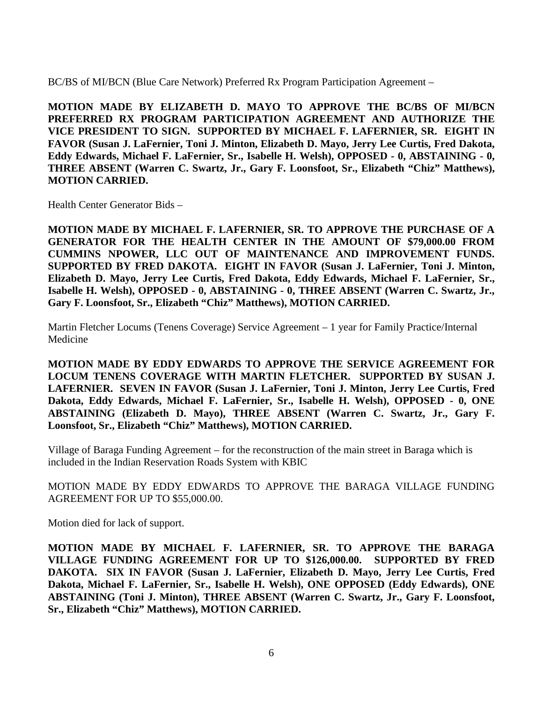BC/BS of MI/BCN (Blue Care Network) Preferred Rx Program Participation Agreement –

**MOTION MADE BY ELIZABETH D. MAYO TO APPROVE THE BC/BS OF MI/BCN PREFERRED RX PROGRAM PARTICIPATION AGREEMENT AND AUTHORIZE THE VICE PRESIDENT TO SIGN. SUPPORTED BY MICHAEL F. LAFERNIER, SR. EIGHT IN FAVOR (Susan J. LaFernier, Toni J. Minton, Elizabeth D. Mayo, Jerry Lee Curtis, Fred Dakota, Eddy Edwards, Michael F. LaFernier, Sr., Isabelle H. Welsh), OPPOSED - 0, ABSTAINING - 0, THREE ABSENT (Warren C. Swartz, Jr., Gary F. Loonsfoot, Sr., Elizabeth "Chiz" Matthews), MOTION CARRIED.**

Health Center Generator Bids –

**MOTION MADE BY MICHAEL F. LAFERNIER, SR. TO APPROVE THE PURCHASE OF A GENERATOR FOR THE HEALTH CENTER IN THE AMOUNT OF \$79,000.00 FROM CUMMINS NPOWER, LLC OUT OF MAINTENANCE AND IMPROVEMENT FUNDS. SUPPORTED BY FRED DAKOTA. EIGHT IN FAVOR (Susan J. LaFernier, Toni J. Minton, Elizabeth D. Mayo, Jerry Lee Curtis, Fred Dakota, Eddy Edwards, Michael F. LaFernier, Sr., Isabelle H. Welsh), OPPOSED - 0, ABSTAINING - 0, THREE ABSENT (Warren C. Swartz, Jr., Gary F. Loonsfoot, Sr., Elizabeth "Chiz" Matthews), MOTION CARRIED.** 

Martin Fletcher Locums (Tenens Coverage) Service Agreement – 1 year for Family Practice/Internal Medicine

**MOTION MADE BY EDDY EDWARDS TO APPROVE THE SERVICE AGREEMENT FOR LOCUM TENENS COVERAGE WITH MARTIN FLETCHER. SUPPORTED BY SUSAN J. LAFERNIER. SEVEN IN FAVOR (Susan J. LaFernier, Toni J. Minton, Jerry Lee Curtis, Fred Dakota, Eddy Edwards, Michael F. LaFernier, Sr., Isabelle H. Welsh), OPPOSED - 0, ONE ABSTAINING (Elizabeth D. Mayo), THREE ABSENT (Warren C. Swartz, Jr., Gary F. Loonsfoot, Sr., Elizabeth "Chiz" Matthews), MOTION CARRIED.** 

Village of Baraga Funding Agreement – for the reconstruction of the main street in Baraga which is included in the Indian Reservation Roads System with KBIC

MOTION MADE BY EDDY EDWARDS TO APPROVE THE BARAGA VILLAGE FUNDING AGREEMENT FOR UP TO \$55,000.00.

Motion died for lack of support.

**MOTION MADE BY MICHAEL F. LAFERNIER, SR. TO APPROVE THE BARAGA VILLAGE FUNDING AGREEMENT FOR UP TO \$126,000.00. SUPPORTED BY FRED DAKOTA. SIX IN FAVOR (Susan J. LaFernier, Elizabeth D. Mayo, Jerry Lee Curtis, Fred Dakota, Michael F. LaFernier, Sr., Isabelle H. Welsh), ONE OPPOSED (Eddy Edwards), ONE ABSTAINING (Toni J. Minton), THREE ABSENT (Warren C. Swartz, Jr., Gary F. Loonsfoot, Sr., Elizabeth "Chiz" Matthews), MOTION CARRIED.**